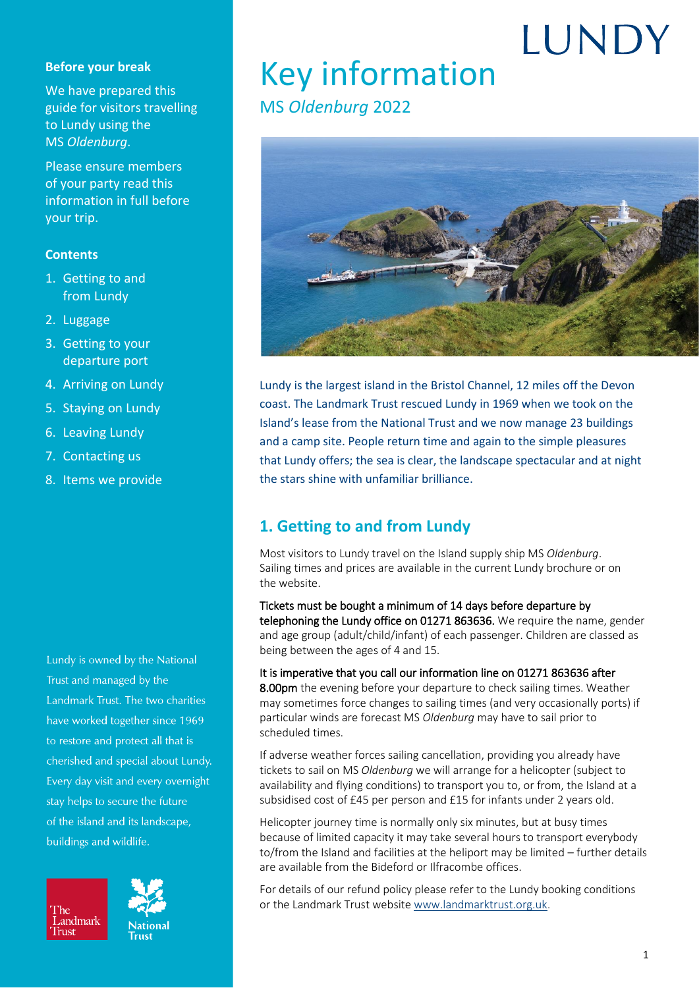#### **Before your break**

We have prepared this guide for visitors travelling to Lundy using the MS *Oldenburg*.

Please ensure members of your party read this information in full before your trip.

#### **Contents**

- 1. [Getting to and](#page-0-0)  [from Lundy](#page-0-0)
- 2. [Luggage](#page-1-0)
- 3. [Getting to your](#page-1-1)  [departure port](#page-1-1)
- 4. [Arriving on Lundy](#page-3-0)
- 5. [Staying on](#page-4-0) Lundy
- 6. [Leaving Lundy](#page-5-0)
- 7. [Contacting us](#page-5-1)
- 8. [Items we provide](#page-6-0)

Lundy is owned by the National Trust and managed by the Landmark Trust. The two charities have worked together since 1969 to restore and protect all that is cherished and special about Lundy. Every day visit and every overnight stay helps to secure the future of the island and its landscape, buildings and wildlife.





**National** 

## **IUNDY** Key information

## MS *Oldenburg* 2022



Lundy is the largest island in the Bristol Channel, 12 miles off the Devon coast. The Landmark Trust rescued Lundy in 1969 when we took on the Island's lease from the National Trust and we now manage 23 buildings and a camp site. People return time and again to the simple pleasures that Lundy offers; the sea is clear, the landscape spectacular and at night the stars shine with unfamiliar brilliance.

### <span id="page-0-0"></span>**1. Getting to and from Lundy**

Most visitors to Lundy travel on the Island supply ship MS *Oldenburg*. Sailing times and prices are available in the current Lundy brochure or on the website.

Tickets must be bought a minimum of 14 days before departure by telephoning the Lundy office on 01271 863636. We require the name, gender and age group (adult/child/infant) of each passenger. Children are classed as being between the ages of 4 and 15.

It is imperative that you call our information line on 01271 863636 after 8.00pm the evening before your departure to check sailing times. Weather may sometimes force changes to sailing times (and very occasionally ports) if particular winds are forecast MS *Oldenburg* may have to sail prior to scheduled times.

If adverse weather forces sailing cancellation, providing you already have tickets to sail on MS *Oldenburg* we will arrange for a helicopter (subject to availability and flying conditions) to transport you to, or from, the Island at a subsidised cost of £45 per person and £15 for infants under 2 years old.

Helicopter journey time is normally only six minutes, but at busy times because of limited capacity it may take several hours to transport everybody to/from the Island and facilities at the heliport may be limited – further details are available from the Bideford or Ilfracombe offices.

For details of our refund policy please refer to the Lundy booking conditions or the Landmark Trust website [www.landmarktrust.org.uk.](http://www.landmarktrust.org.uk/)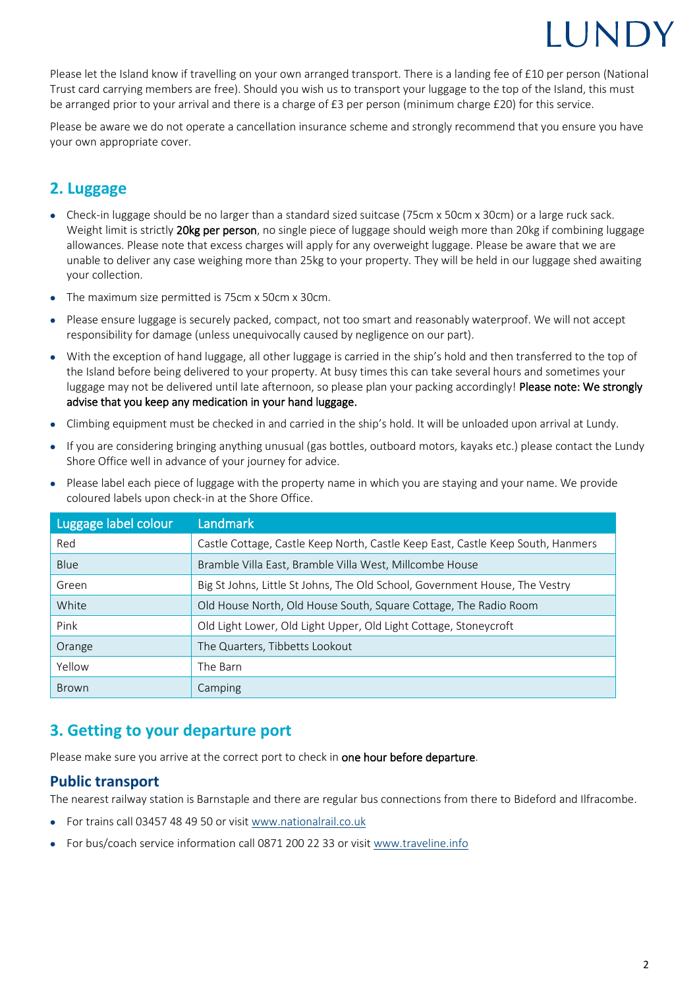## **IIINDY**

Please let the Island know if travelling on your own arranged transport. There is a landing fee of £10 per person (National Trust card carrying members are free). Should you wish us to transport your luggage to the top of the Island, this must be arranged prior to your arrival and there is a charge of £3 per person (minimum charge £20) for this service.

Please be aware we do not operate a cancellation insurance scheme and strongly recommend that you ensure you have your own appropriate cover.

## <span id="page-1-0"></span>**2. Luggage**

- Check-in luggage should be no larger than a standard sized suitcase (75cm x 50cm x 30cm) or a large ruck sack. Weight limit is strictly 20kg per person, no single piece of luggage should weigh more than 20kg if combining luggage allowances. Please note that excess charges will apply for any overweight luggage. Please be aware that we are unable to deliver any case weighing more than 25kg to your property. They will be held in our luggage shed awaiting your collection.
- The maximum size permitted is 75cm x 50cm x 30cm.
- Please ensure luggage is securely packed, compact, not too smart and reasonably waterproof. We will not accept responsibility for damage (unless unequivocally caused by negligence on our part).
- With the exception of hand luggage, all other luggage is carried in the ship's hold and then transferred to the top of the Island before being delivered to your property. At busy times this can take several hours and sometimes your luggage may not be delivered until late afternoon, so please plan your packing accordingly! Please note: We strongly advise that you keep any medication in your hand luggage.
- Climbing equipment must be checked in and carried in the ship's hold. It will be unloaded upon arrival at Lundy.
- If you are considering bringing anything unusual (gas bottles, outboard motors, kayaks etc.) please contact the Lundy Shore Office well in advance of your journey for advice.

| Luggage label colour | Landmark                                                                        |
|----------------------|---------------------------------------------------------------------------------|
| Red                  | Castle Cottage, Castle Keep North, Castle Keep East, Castle Keep South, Hanmers |
| Blue                 | Bramble Villa East, Bramble Villa West, Millcombe House                         |
| Green                | Big St Johns, Little St Johns, The Old School, Government House, The Vestry     |
| White                | Old House North, Old House South, Square Cottage, The Radio Room                |
| Pink                 | Old Light Lower, Old Light Upper, Old Light Cottage, Stoneycroft                |
| Orange               | The Quarters, Tibbetts Lookout                                                  |
| Yellow               | The Barn                                                                        |
| <b>Brown</b>         | Camping                                                                         |

• Please label each piece of luggage with the property name in which you are staying and your name. We provide coloured labels upon check-in at the Shore Office.

### <span id="page-1-1"></span>**3. Getting to your departure port**

Please make sure you arrive at the correct port to check in one hour before departure.

#### **Public transport**

The nearest railway station is Barnstaple and there are regular bus connections from there to Bideford and Ilfracombe.

- For trains call 03457 48 49 50 or visit [www.nationalrail.co.uk](http://www.nationalrail.co.uk/)
- For bus/coach service information call 0871 200 22 33 or visit [www.traveline.info](http://www.traveline.info/)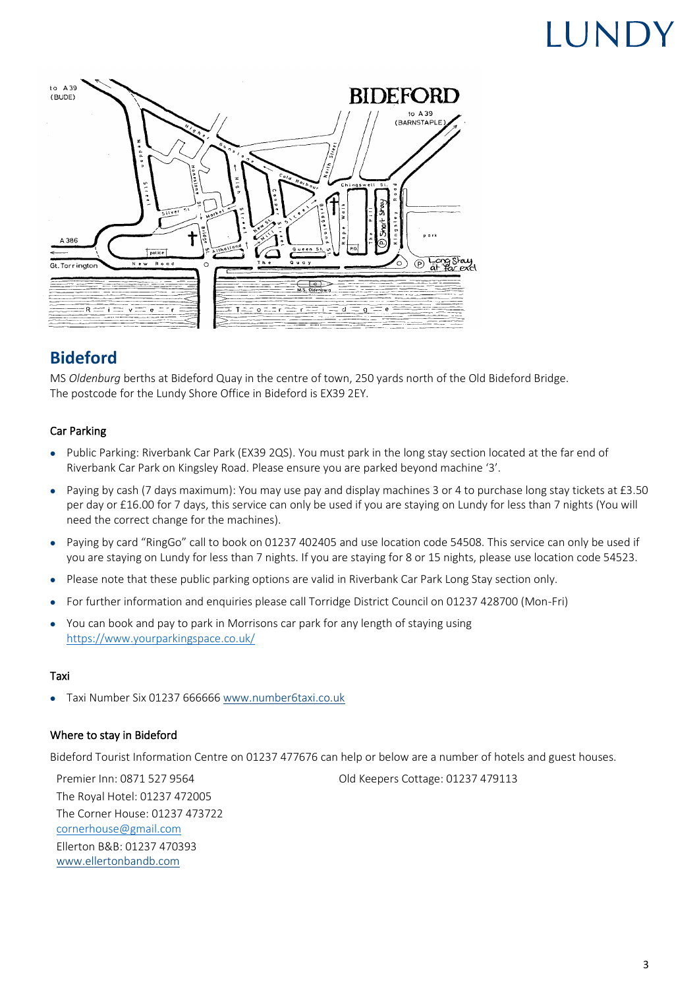# **ILINDY**



## **Bideford**

MS *Oldenburg* berths at Bideford Quay in the centre of town, 250 yards north of the Old Bideford Bridge. The postcode for the Lundy Shore Office in Bideford is EX39 2EY.

#### Car Parking

- Public Parking: Riverbank Car Park (EX39 2QS). You must park in the long stay section located at the far end of Riverbank Car Park on Kingsley Road. Please ensure you are parked beyond machine '3'.
- Paying by cash (7 days maximum): You may use pay and display machines 3 or 4 to purchase long stay tickets at £3.50 per day or £16.00 for 7 days, this service can only be used if you are staying on Lundy for less than 7 nights (You will need the correct change for the machines).
- Paying by card "RingGo" call to book on 01237 402405 and use location code 54508. This service can only be used if you are staying on Lundy for less than 7 nights. If you are staying for 8 or 15 nights, please use location code 54523.
- Please note that these public parking options are valid in Riverbank Car Park Long Stay section only.
- For further information and enquiries please call Torridge District Council on 01237 428700 (Mon-Fri)
- You can book and pay to park in Morrisons car park for any length of staying using <https://www.yourparkingspace.co.uk/>

#### Taxi

• Taxi Number Six 01237 666666 [www.number6taxi.co.uk](http://www.number6taxi.co.uk/)

#### Where to stay in Bideford

Bideford Tourist Information Centre on 01237 477676 can help or below are a number of hotels and guest houses.

The Royal Hotel: 01237 472005 The Corner House: 01237 473722 [cornerhouse@gmail.com](mailto:cornerhouse@gmail.com) Ellerton B&B: 01237 470393 www.ellertonbandb.com

Premier Inn: 0871 527 9564 Old Keepers Cottage: 01237 479113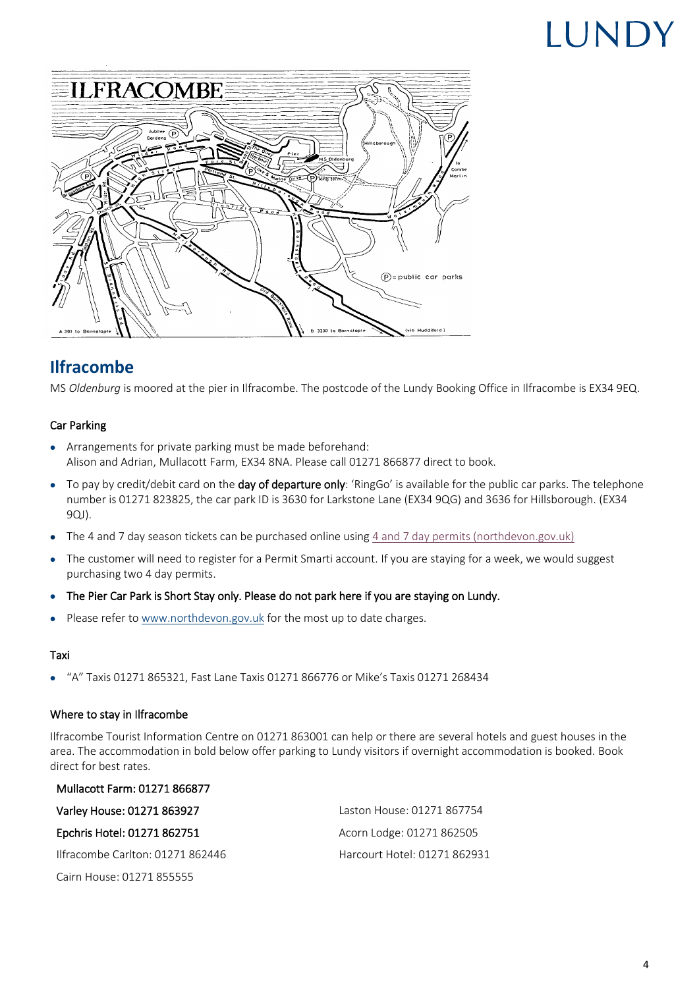# LUNDY



## **Ilfracombe**

MS *Oldenburg* is moored at the pier in Ilfracombe. The postcode of the Lundy Booking Office in Ilfracombe is EX34 9EQ.

#### Car Parking

- Arrangements for private parking must be made beforehand: Alison and Adrian, Mullacott Farm, EX34 8NA. Please call 01271 866877 direct to book.
- $\bullet$  To pay by credit/debit card on the **day of departure only**: 'RingGo' is available for the public car parks. The telephone number is 01271 823825, the car park ID is 3630 for Larkstone Lane (EX34 9QG) and 3636 for Hillsborough. (EX34 9QJ).
- The 4 and 7 day season tickets can be purchased online using [4 and 7 day permits \(northdevon.gov.uk\)](https://linkprotect.cudasvc.com/url?a=https%3a%2f%2fwww.northdevon.gov.uk%2fparking%2fparking-permits%2f4-and-7-day-permits%2f&c=E,1,xUu0C02b58VYmxEuUcDgiziNPtCujQxJ6xoay16_UN-kvOvF2LJWak29ehpyRnT1_fOTZ9XWEOOHV2yFGnd-TqGVN67CJl8Vp6fmer8OUUlUXH9aEkyl9LGQ&typo=1)
- The customer will need to register for a Permit Smarti account. If you are staying for a week, we would suggest purchasing two 4 day permits.
- The Pier Car Park is Short Stay only. Please do not park here if you are staying on Lundy.
- Please refer t[o www.northdevon.gov.uk](https://www.northdevon.gov.uk/parking/parking-permits/visitor-and-tourist-permits/4-and-7-day-permits/) for the most up to date charges.

#### Taxi

• "A" Taxis 01271 865321, Fast Lane Taxis 01271 866776 or Mike's Taxis 01271 268434

#### Where to stay in Ilfracombe

Mullacott Farm: 01271 866877

Ilfracombe Tourist Information Centre on 01271 863001 can help or there are several hotels and guest houses in the area. The accommodation in bold below offer parking to Lundy visitors if overnight accommodation is booked. Book direct for best rates.

<span id="page-3-0"></span>

| Varley House: 01271 863927       | Laston House: 01271 867754   |
|----------------------------------|------------------------------|
| Epchris Hotel: 01271 862751      | Acorn Lodge: 01271 862505    |
| Ilfracombe Carlton: 01271 862446 | Harcourt Hotel: 01271 862931 |
| Cairn House: 01271 855555        |                              |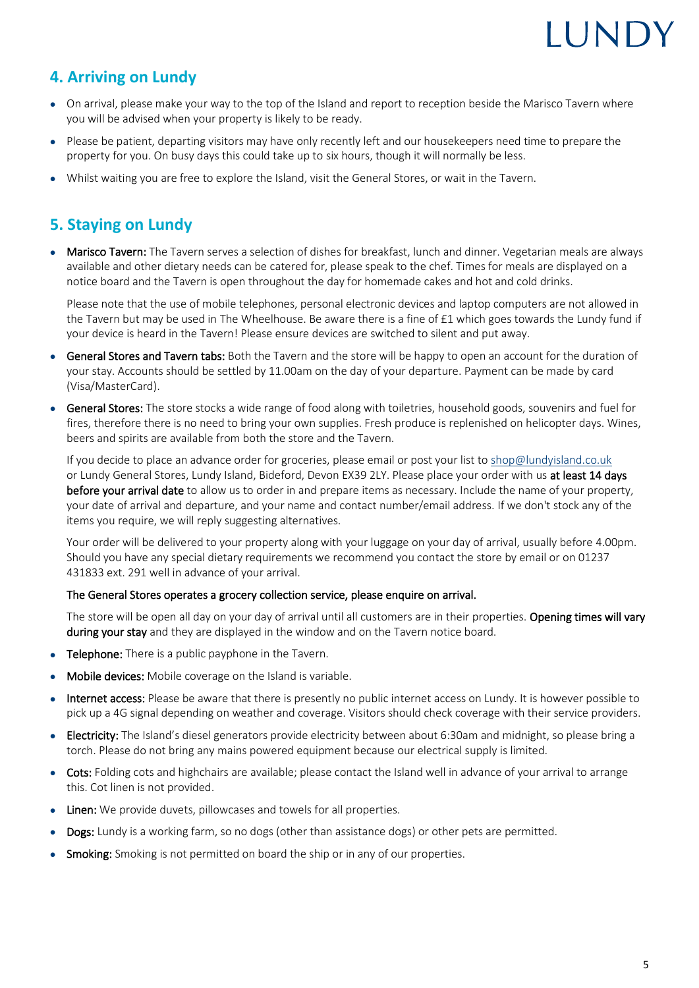# IIIND'

## **4. Arriving on Lundy**

- On arrival, please make your way to the top of the Island and report to reception beside the Marisco Tavern where you will be advised when your property is likely to be ready.
- Please be patient, departing visitors may have only recently left and our housekeepers need time to prepare the property for you. On busy days this could take up to six hours, though it will normally be less.
- Whilst waiting you are free to explore the Island, visit the General Stores, or wait in the Tavern.

## <span id="page-4-0"></span>**5. Staying on Lundy**

• Marisco Tavern: The Tavern serves a selection of dishes for breakfast, lunch and dinner. Vegetarian meals are always available and other dietary needs can be catered for, please speak to the chef. Times for meals are displayed on a notice board and the Tavern is open throughout the day for homemade cakes and hot and cold drinks.

Please note that the use of mobile telephones, personal electronic devices and laptop computers are not allowed in the Tavern but may be used in The Wheelhouse. Be aware there is a fine of £1 which goes towards the Lundy fund if your device is heard in the Tavern! Please ensure devices are switched to silent and put away.

- General Stores and Tavern tabs: Both the Tavern and the store will be happy to open an account for the duration of your stay. Accounts should be settled by 11.00am on the day of your departure. Payment can be made by card (Visa/MasterCard).
- General Stores: The store stocks a wide range of food along with toiletries, household goods, souvenirs and fuel for fires, therefore there is no need to bring your own supplies. Fresh produce is replenished on helicopter days. Wines, beers and spirits are available from both the store and the Tavern.

If you decide to place an advance order for groceries, please email or post your list to [shop@lundyisland.co.uk](mailto:shop@lundyisland.co.uk) or Lundy General Stores, Lundy Island, Bideford, Devon EX39 2LY. Please place your order with us at least 14 days before your arrival date to allow us to order in and prepare items as necessary. Include the name of your property, your date of arrival and departure, and your name and contact number/email address. If we don't stock any of the items you require, we will reply suggesting alternatives.

Your order will be delivered to your property along with your luggage on your day of arrival, usually before 4.00pm. Should you have any special dietary requirements we recommend you contact the store by email or on 01237 431833 ext. 291 well in advance of your arrival.

#### The General Stores operates a grocery collection service, please enquire on arrival.

The store will be open all day on your day of arrival until all customers are in their properties. Opening times will vary during your stay and they are displayed in the window and on the Tavern notice board.

- **Telephone:** There is a public payphone in the Tavern.
- Mobile devices: Mobile coverage on the Island is variable.
- Internet access: Please be aware that there is presently no public internet access on Lundy. It is however possible to pick up a 4G signal depending on weather and coverage. Visitors should check coverage with their service providers.
- Electricity: The Island's diesel generators provide electricity between about 6:30am and midnight, so please bring a torch. Please do not bring any mains powered equipment because our electrical supply is limited.
- Cots: Folding cots and highchairs are available; please contact the Island well in advance of your arrival to arrange this. Cot linen is not provided.
- Linen: We provide duvets, pillowcases and towels for all properties.
- Dogs: Lundy is a working farm, so no dogs (other than assistance dogs) or other pets are permitted.
- Smoking: Smoking is not permitted on board the ship or in any of our properties.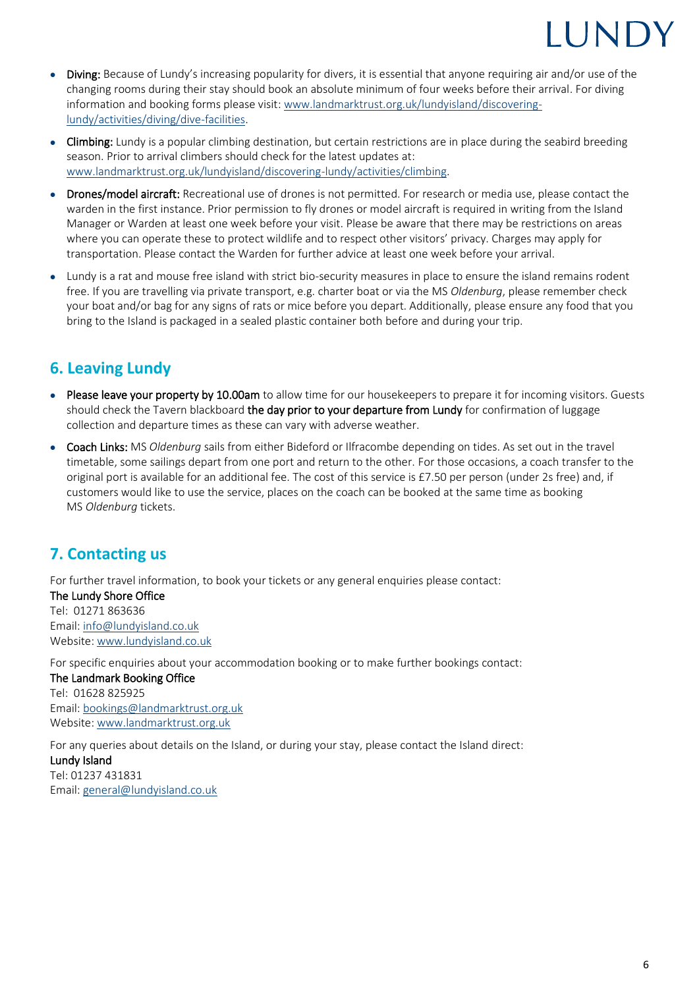## **I UNDY**

- Diving: Because of Lundy's increasing popularity for divers, it is essential that anyone requiring air and/or use of the changing rooms during their stay should book an absolute minimum of four weeks before their arrival. For diving information and booking forms please visit: [www.landmarktrust.org.uk/lundyisland/discovering](http://www.landmarktrust.org.uk/lundyisland/discovering-lundy/activities/diving/dive-facilities)[lundy/activities/diving/dive-facilities.](http://www.landmarktrust.org.uk/lundyisland/discovering-lundy/activities/diving/dive-facilities)
- Climbing: Lundy is a popular climbing destination, but certain restrictions are in place during the seabird breeding season. Prior to arrival climbers should check for the latest updates at: [www.landmarktrust.org.uk/lundyisland/discovering-lundy/activities/climbing.](http://www.landmarktrust.org.uk/lundyisland/discovering-lundy/activities/climbing)
- Drones/model aircraft: Recreational use of drones is not permitted. For research or media use, please contact the warden in the first instance. Prior permission to fly drones or model aircraft is required in writing from the Island Manager or Warden at least one week before your visit. Please be aware that there may be restrictions on areas where you can operate these to protect wildlife and to respect other visitors' privacy. Charges may apply for transportation. Please contact the Warden for further advice at least one week before your arrival.
- Lundy is a rat and mouse free island with strict bio-security measures in place to ensure the island remains rodent free. If you are travelling via private transport, e.g. charter boat or via the MS *Oldenburg*, please remember check your boat and/or bag for any signs of rats or mice before you depart. Additionally, please ensure any food that you bring to the Island is packaged in a sealed plastic container both before and during your trip.

## <span id="page-5-0"></span>**6. Leaving Lundy**

- Please leave your property by 10.00am to allow time for our housekeepers to prepare it for incoming visitors. Guests should check the Tavern blackboard the day prior to your departure from Lundy for confirmation of luggage collection and departure times as these can vary with adverse weather.
- Coach Links: MS *Oldenburg* sails from either Bideford or Ilfracombe depending on tides. As set out in the travel timetable, some sailings depart from one port and return to the other. For those occasions, a coach transfer to the original port is available for an additional fee. The cost of this service is £7.50 per person (under 2s free) and, if customers would like to use the service, places on the coach can be booked at the same time as booking MS *Oldenburg* tickets.

## <span id="page-5-1"></span>**7. Contacting us**

For further travel information, to book your tickets or any general enquiries please contact: The Lundy Shore Office Tel: 01271 863636 Email[: info@lundyisland.co.uk](mailto:info@lundyisland.co.uk) Website[: www.lundyisland.co.uk](http://www.lundyisland.co.uk/)

For specific enquiries about your accommodation booking or to make further bookings contact: The Landmark Booking Office Tel: 01628 825925 Email[: bookings@landmarktrust.org.uk](mailto:bookings@landmarktrust.org.uk) Website[: www.landmarktrust.org.uk](http://www.landmarktrust.org.uk/)

For any queries about details on the Island, or during your stay, please contact the Island direct: Lundy Island Tel: 01237 431831 Email[: general@lundyisland.co.uk](mailto:general@lundyisland.co.uk)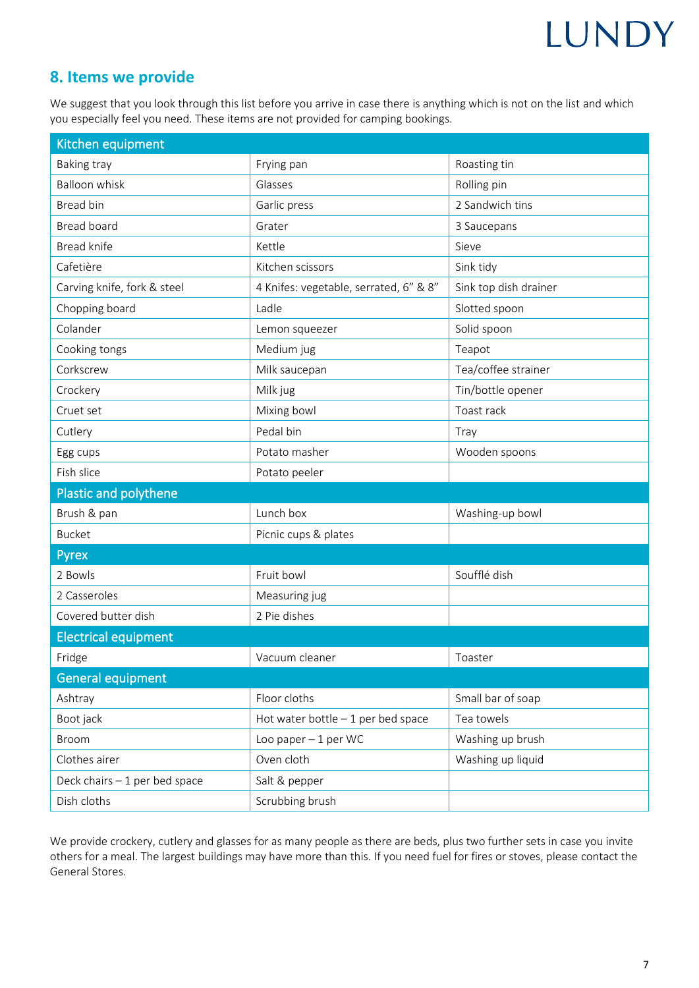# LUNDY

### <span id="page-6-0"></span>**8. Items we provide**

We suggest that you look through this list before you arrive in case there is anything which is not on the list and which you especially feel you need. These items are not provided for camping bookings.

| Kitchen equipment             |                                        |                       |  |  |
|-------------------------------|----------------------------------------|-----------------------|--|--|
| Baking tray                   | Frying pan                             | Roasting tin          |  |  |
| <b>Balloon whisk</b>          | Glasses                                | Rolling pin           |  |  |
| Bread bin                     | Garlic press                           | 2 Sandwich tins       |  |  |
| Bread board                   | Grater                                 | 3 Saucepans           |  |  |
| <b>Bread knife</b>            | Kettle                                 | Sieve                 |  |  |
| Cafetière                     | Kitchen scissors                       | Sink tidy             |  |  |
| Carving knife, fork & steel   | 4 Knifes: vegetable, serrated, 6" & 8" | Sink top dish drainer |  |  |
| Chopping board                | Ladle                                  | Slotted spoon         |  |  |
| Colander                      | Lemon squeezer                         | Solid spoon           |  |  |
| Cooking tongs                 | Medium jug                             | Teapot                |  |  |
| Corkscrew                     | Milk saucepan                          | Tea/coffee strainer   |  |  |
| Crockery                      | Milk jug                               | Tin/bottle opener     |  |  |
| Cruet set                     | Mixing bowl                            | Toast rack            |  |  |
| Cutlery                       | Pedal bin                              | Tray                  |  |  |
| Egg cups                      | Potato masher                          | Wooden spoons         |  |  |
| Fish slice                    | Potato peeler                          |                       |  |  |
| Plastic and polythene         |                                        |                       |  |  |
| Brush & pan                   | Lunch box                              | Washing-up bowl       |  |  |
| <b>Bucket</b>                 | Picnic cups & plates                   |                       |  |  |
| Pyrex                         |                                        |                       |  |  |
| 2 Bowls                       | Fruit bowl                             | Soufflé dish          |  |  |
| 2 Casseroles                  | Measuring jug                          |                       |  |  |
| Covered butter dish           | 2 Pie dishes                           |                       |  |  |
| <b>Electrical equipment</b>   |                                        |                       |  |  |
| Fridge                        | Vacuum cleaner                         | Toaster               |  |  |
| <b>General equipment</b>      |                                        |                       |  |  |
| Ashtray                       | Floor cloths                           | Small bar of soap     |  |  |
| Boot jack                     | Hot water bottle $-1$ per bed space    | Tea towels            |  |  |
| Broom                         | Loo paper $-1$ per WC                  | Washing up brush      |  |  |
| Clothes airer                 | Oven cloth                             | Washing up liquid     |  |  |
| Deck chairs - 1 per bed space | Salt & pepper                          |                       |  |  |
| Dish cloths                   | Scrubbing brush                        |                       |  |  |

We provide crockery, cutlery and glasses for as many people as there are beds, plus two further sets in case you invite others for a meal. The largest buildings may have more than this. If you need fuel for fires or stoves, please contact the General Stores.